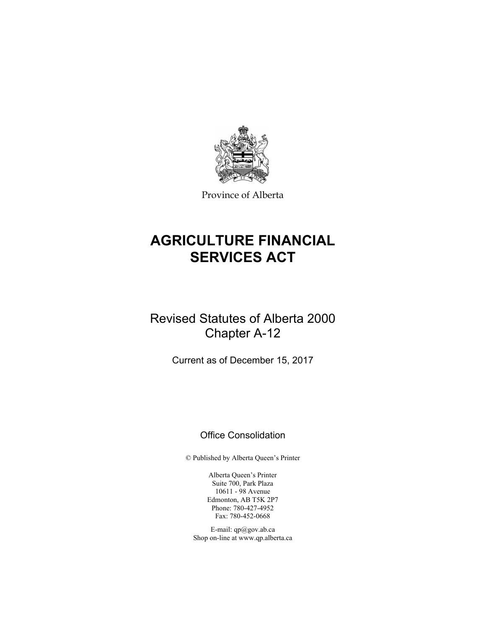

Province of Alberta

# **AGRICULTURE FINANCIAL SERVICES ACT**

# Revised Statutes of Alberta 2000 Chapter A-12

Current as of December 15, 2017

# Office Consolidation

© Published by Alberta Queen's Printer

Alberta Queen's Printer Suite 700, Park Plaza 10611 - 98 Avenue Edmonton, AB T5K 2P7 Phone: 780-427-4952 Fax: 780-452-0668

E-mail: qp@gov.ab.ca Shop on-line at www.qp.alberta.ca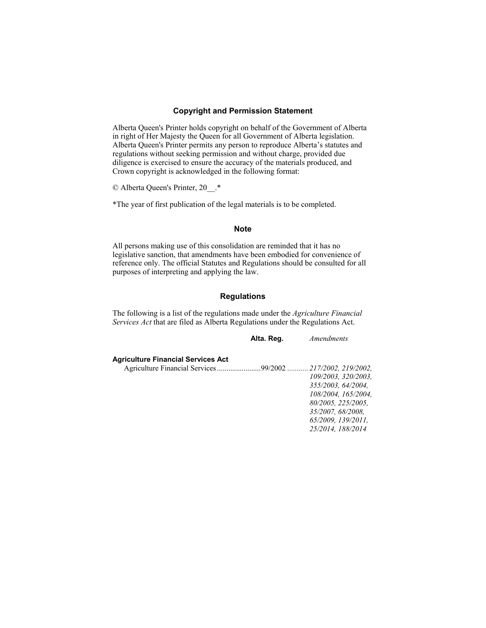# **Copyright and Permission Statement**

Alberta Queen's Printer holds copyright on behalf of the Government of Alberta in right of Her Majesty the Queen for all Government of Alberta legislation. Alberta Queen's Printer permits any person to reproduce Alberta's statutes and regulations without seeking permission and without charge, provided due diligence is exercised to ensure the accuracy of the materials produced, and Crown copyright is acknowledged in the following format:

© Alberta Queen's Printer, 20\_\_.\*

\*The year of first publication of the legal materials is to be completed.

#### **Note**

All persons making use of this consolidation are reminded that it has no legislative sanction, that amendments have been embodied for convenience of reference only. The official Statutes and Regulations should be consulted for all purposes of interpreting and applying the law.

# **Regulations**

The following is a list of the regulations made under the *Agriculture Financial Services Act* that are filed as Alberta Regulations under the Regulations Act.

|                                                             | Alta. Reg. | <i>Amendments</i>   |
|-------------------------------------------------------------|------------|---------------------|
| <b>Agriculture Financial Services Act</b>                   |            |                     |
| Agriculture Financial Services 99/2002  217/2002, 219/2002, |            |                     |
|                                                             |            | 109/2003, 320/2003, |
|                                                             |            | 355/2003. 64/2004.  |
|                                                             |            | 108/2004. 165/2004. |
|                                                             |            | 80/2005, 225/2005.  |
|                                                             |            | 35/2007, 68/2008.   |
|                                                             |            | 65/2009. 139/2011.  |
|                                                             |            | 25/2014. 188/2014   |
|                                                             |            |                     |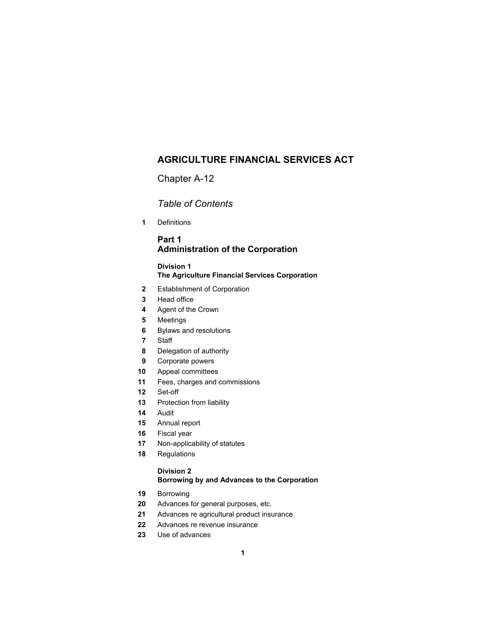# **AGRICULTURE FINANCIAL SERVICES ACT**

Chapter A-12

*Table of Contents* 

Definitions

# **Part 1 Administration of the Corporation**

# **Division 1 The Agriculture Financial Services Corporation**

- Establishment of Corporation
- Head office
- Agent of the Crown
- Meetings
- Bylaws and resolutions
- Staff
- Delegation of authority
- Corporate powers
- Appeal committees
- Fees, charges and commissions
- Set-off
- Protection from liability
- Audit
- Annual report
- Fiscal year
- Non-applicability of statutes
- Regulations

# **Division 2 Borrowing by and Advances to the Corporation**

- Borrowing
- Advances for general purposes, etc.
- Advances re agricultural product insurance
- Advances re revenue insurance
- Use of advances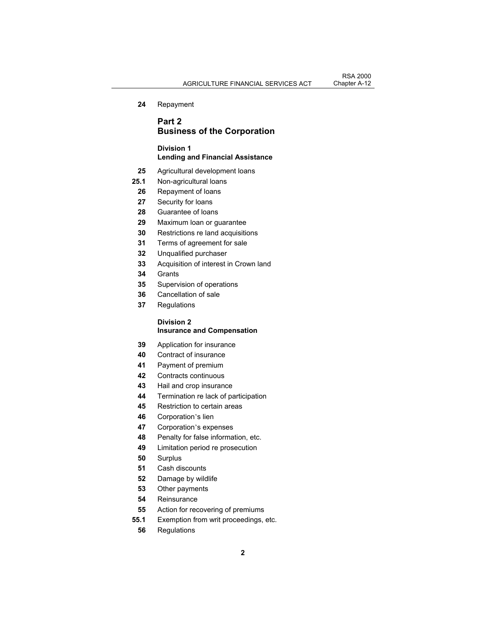Repayment

# **Part 2 Business of the Corporation**

# **Division 1 Lending and Financial Assistance**

- Agricultural development loans
- **25.1** Non-agricultural loans
- Repayment of loans
- Security for loans
- Guarantee of loans
- Maximum loan or guarantee
- Restrictions re land acquisitions
- Terms of agreement for sale
- Unqualified purchaser
- Acquisition of interest in Crown land
- Grants
- Supervision of operations
- Cancellation of sale
- Regulations

### **Division 2 Insurance and Compensation**

- Application for insurance
- Contract of insurance
- Payment of premium
- Contracts continuous
- Hail and crop insurance
- Termination re lack of participation
- Restriction to certain areas
- Corporation's lien
- Corporation's expenses
- Penalty for false information, etc.
- Limitation period re prosecution
- Surplus
- Cash discounts
- Damage by wildlife
- Other payments
- Reinsurance
- Action for recovering of premiums
- **55.1** Exemption from writ proceedings, etc.
	- Regulations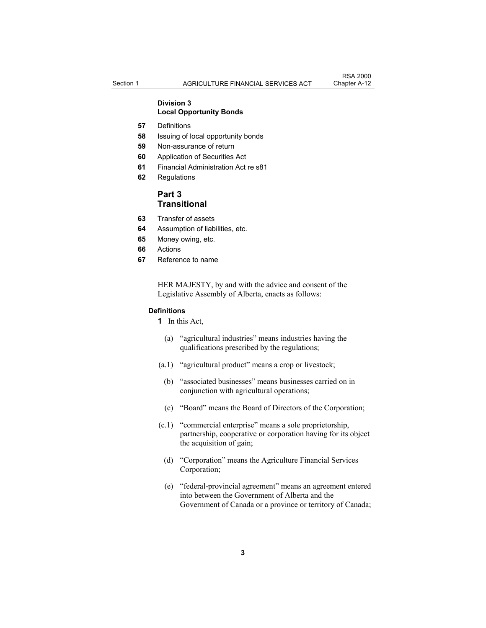#### **Division 3 Local Opportunity Bonds**

- **57** Definitions
- **58** Issuing of local opportunity bonds
- **59** Non-assurance of return
- **60** Application of Securities Act
- **61** Financial Administration Act re s81
- **62** Regulations

# **Part 3 Transitional**

- **63** Transfer of assets
- **64** Assumption of liabilities, etc.
- **65** Money owing, etc.
- **66** Actions
- **67** Reference to name

HER MAJESTY, by and with the advice and consent of the Legislative Assembly of Alberta, enacts as follows:

#### **Definitions**

**1** In this Act,

- (a) "agricultural industries" means industries having the qualifications prescribed by the regulations;
- (a.1) "agricultural product" means a crop or livestock;
	- (b) "associated businesses" means businesses carried on in conjunction with agricultural operations;
- (c) "Board" means the Board of Directors of the Corporation;
- (c.1) "commercial enterprise" means a sole proprietorship, partnership, cooperative or corporation having for its object the acquisition of gain;
	- (d) "Corporation" means the Agriculture Financial Services Corporation;
	- (e) "federal-provincial agreement" means an agreement entered into between the Government of Alberta and the Government of Canada or a province or territory of Canada;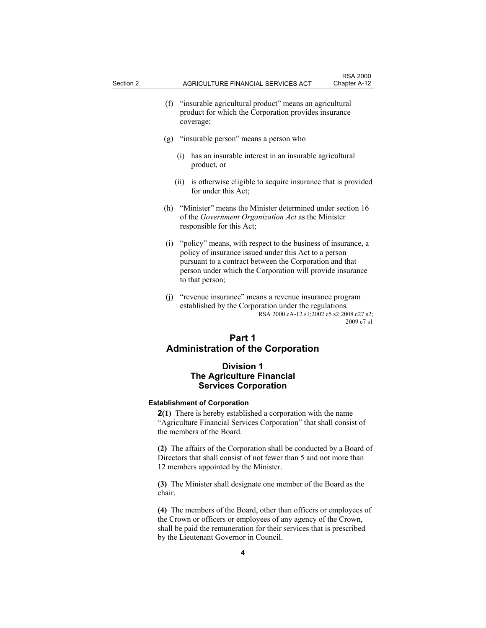- (f) "insurable agricultural product" means an agricultural product for which the Corporation provides insurance coverage;
- (g) "insurable person" means a person who
	- (i) has an insurable interest in an insurable agricultural product, or
	- (ii) is otherwise eligible to acquire insurance that is provided for under this Act;
- (h) "Minister" means the Minister determined under section 16 of the *Government Organization Act* as the Minister responsible for this Act;
- (i) "policy" means, with respect to the business of insurance, a policy of insurance issued under this Act to a person pursuant to a contract between the Corporation and that person under which the Corporation will provide insurance to that person;
- (j) "revenue insurance" means a revenue insurance program established by the Corporation under the regulations. RSA 2000 cA-12 s1;2002 c5 s2;2008 c27 s2; 2009 c7 s1

# **Part 1 Administration of the Corporation**

# **Division 1 The Agriculture Financial Services Corporation**

#### **Establishment of Corporation**

**2(1)** There is hereby established a corporation with the name "Agriculture Financial Services Corporation" that shall consist of the members of the Board.

**(2)** The affairs of the Corporation shall be conducted by a Board of Directors that shall consist of not fewer than 5 and not more than 12 members appointed by the Minister.

**(3)** The Minister shall designate one member of the Board as the chair.

**(4)** The members of the Board, other than officers or employees of the Crown or officers or employees of any agency of the Crown, shall be paid the remuneration for their services that is prescribed by the Lieutenant Governor in Council.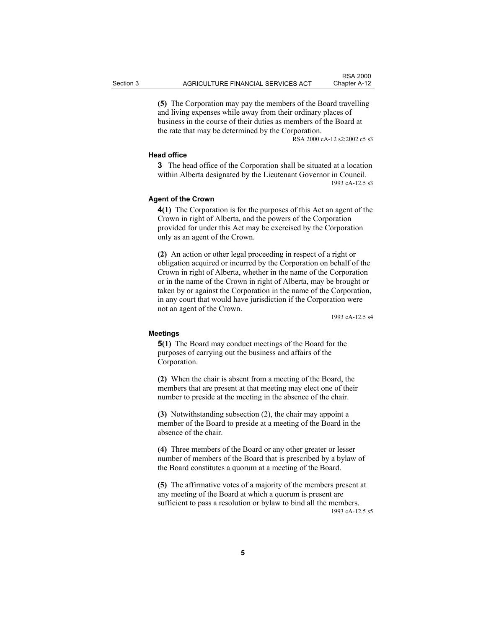**(5)** The Corporation may pay the members of the Board travelling and living expenses while away from their ordinary places of business in the course of their duties as members of the Board at the rate that may be determined by the Corporation.

RSA 2000 cA-12 s2;2002 c5 s3

#### **Head office**

**3** The head office of the Corporation shall be situated at a location within Alberta designated by the Lieutenant Governor in Council. 1993 cA-12.5 s3

#### **Agent of the Crown**

**4(1)** The Corporation is for the purposes of this Act an agent of the Crown in right of Alberta, and the powers of the Corporation provided for under this Act may be exercised by the Corporation only as an agent of the Crown.

**(2)** An action or other legal proceeding in respect of a right or obligation acquired or incurred by the Corporation on behalf of the Crown in right of Alberta, whether in the name of the Corporation or in the name of the Crown in right of Alberta, may be brought or taken by or against the Corporation in the name of the Corporation, in any court that would have jurisdiction if the Corporation were not an agent of the Crown.

1993 cA-12.5 s4

#### **Meetings**

**5(1)** The Board may conduct meetings of the Board for the purposes of carrying out the business and affairs of the Corporation.

**(2)** When the chair is absent from a meeting of the Board, the members that are present at that meeting may elect one of their number to preside at the meeting in the absence of the chair.

**(3)** Notwithstanding subsection (2), the chair may appoint a member of the Board to preside at a meeting of the Board in the absence of the chair.

**(4)** Three members of the Board or any other greater or lesser number of members of the Board that is prescribed by a bylaw of the Board constitutes a quorum at a meeting of the Board.

**(5)** The affirmative votes of a majority of the members present at any meeting of the Board at which a quorum is present are sufficient to pass a resolution or bylaw to bind all the members. 1993 cA-12.5 s5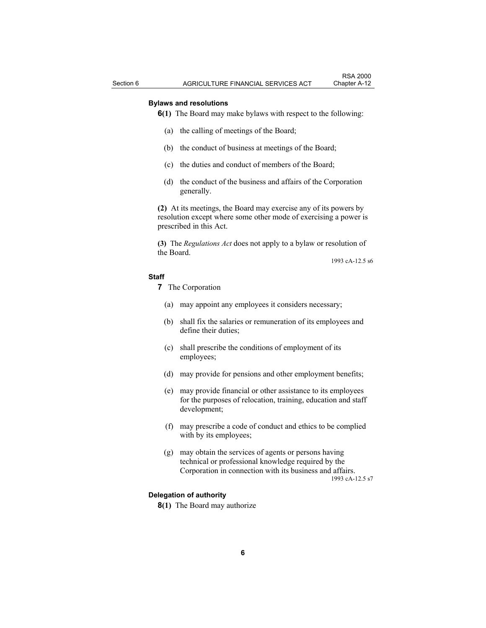#### **Bylaws and resolutions**

**6(1)** The Board may make bylaws with respect to the following:

- (a) the calling of meetings of the Board;
- (b) the conduct of business at meetings of the Board;
- (c) the duties and conduct of members of the Board;
- (d) the conduct of the business and affairs of the Corporation generally.

**(2)** At its meetings, the Board may exercise any of its powers by resolution except where some other mode of exercising a power is prescribed in this Act.

**(3)** The *Regulations Act* does not apply to a bylaw or resolution of the Board.

1993 cA-12.5 s6

# **Staff**

**7** The Corporation

- (a) may appoint any employees it considers necessary;
- (b) shall fix the salaries or remuneration of its employees and define their duties;
- (c) shall prescribe the conditions of employment of its employees;
- (d) may provide for pensions and other employment benefits;
- (e) may provide financial or other assistance to its employees for the purposes of relocation, training, education and staff development;
- (f) may prescribe a code of conduct and ethics to be complied with by its employees;
- (g) may obtain the services of agents or persons having technical or professional knowledge required by the Corporation in connection with its business and affairs. 1993 cA-12.5 s7

#### **Delegation of authority**

**8(1)** The Board may authorize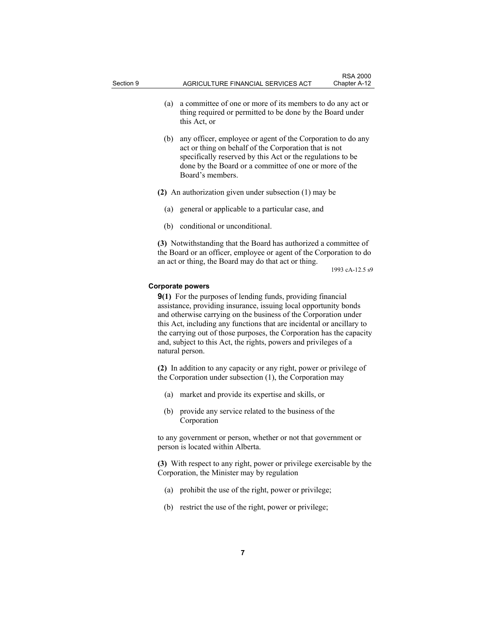- 
- (a) a committee of one or more of its members to do any act or thing required or permitted to be done by the Board under this Act, or
- (b) any officer, employee or agent of the Corporation to do any act or thing on behalf of the Corporation that is not specifically reserved by this Act or the regulations to be done by the Board or a committee of one or more of the Board's members.
- **(2)** An authorization given under subsection (1) may be
	- (a) general or applicable to a particular case, and
	- (b) conditional or unconditional.

**(3)** Notwithstanding that the Board has authorized a committee of the Board or an officer, employee or agent of the Corporation to do an act or thing, the Board may do that act or thing.

1993 cA-12.5 s9

#### **Corporate powers**

**9(1)** For the purposes of lending funds, providing financial assistance, providing insurance, issuing local opportunity bonds and otherwise carrying on the business of the Corporation under this Act, including any functions that are incidental or ancillary to the carrying out of those purposes, the Corporation has the capacity and, subject to this Act, the rights, powers and privileges of a natural person.

**(2)** In addition to any capacity or any right, power or privilege of the Corporation under subsection (1), the Corporation may

- (a) market and provide its expertise and skills, or
- (b) provide any service related to the business of the Corporation

to any government or person, whether or not that government or person is located within Alberta.

**(3)** With respect to any right, power or privilege exercisable by the Corporation, the Minister may by regulation

- (a) prohibit the use of the right, power or privilege;
- (b) restrict the use of the right, power or privilege;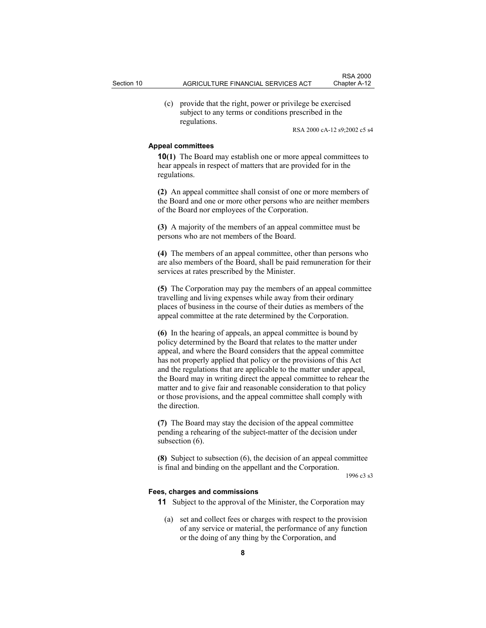(c) provide that the right, power or privilege be exercised subject to any terms or conditions prescribed in the regulations.

RSA 2000 cA-12 s9;2002 c5 s4

#### **Appeal committees**

**10(1)** The Board may establish one or more appeal committees to hear appeals in respect of matters that are provided for in the regulations.

**(2)** An appeal committee shall consist of one or more members of the Board and one or more other persons who are neither members of the Board nor employees of the Corporation.

**(3)** A majority of the members of an appeal committee must be persons who are not members of the Board.

**(4)** The members of an appeal committee, other than persons who are also members of the Board, shall be paid remuneration for their services at rates prescribed by the Minister.

**(5)** The Corporation may pay the members of an appeal committee travelling and living expenses while away from their ordinary places of business in the course of their duties as members of the appeal committee at the rate determined by the Corporation.

**(6)** In the hearing of appeals, an appeal committee is bound by policy determined by the Board that relates to the matter under appeal, and where the Board considers that the appeal committee has not properly applied that policy or the provisions of this Act and the regulations that are applicable to the matter under appeal, the Board may in writing direct the appeal committee to rehear the matter and to give fair and reasonable consideration to that policy or those provisions, and the appeal committee shall comply with the direction.

**(7)** The Board may stay the decision of the appeal committee pending a rehearing of the subject-matter of the decision under subsection  $(6)$ .

**(8)** Subject to subsection (6), the decision of an appeal committee is final and binding on the appellant and the Corporation.

1996 c3 s3

#### **Fees, charges and commissions**

**11** Subject to the approval of the Minister, the Corporation may

 (a) set and collect fees or charges with respect to the provision of any service or material, the performance of any function or the doing of any thing by the Corporation, and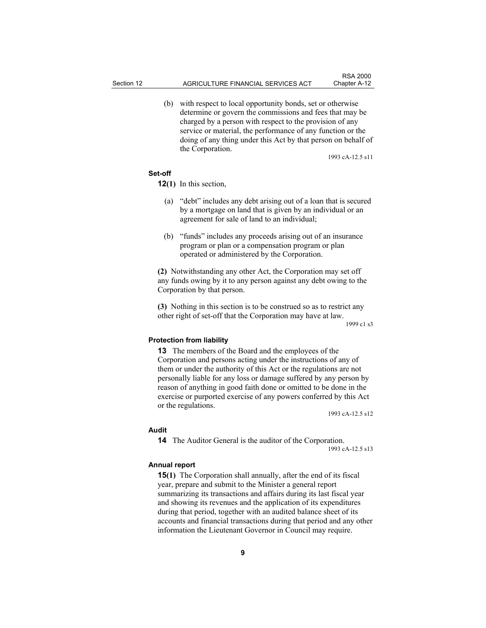(b) with respect to local opportunity bonds, set or otherwise determine or govern the commissions and fees that may be charged by a person with respect to the provision of any service or material, the performance of any function or the doing of any thing under this Act by that person on behalf of the Corporation.

1993 cA-12.5 s11

#### **Set-off**

**12(1)** In this section,

- (a) "debt" includes any debt arising out of a loan that is secured by a mortgage on land that is given by an individual or an agreement for sale of land to an individual;
- (b) "funds" includes any proceeds arising out of an insurance program or plan or a compensation program or plan operated or administered by the Corporation.

**(2)** Notwithstanding any other Act, the Corporation may set off any funds owing by it to any person against any debt owing to the Corporation by that person.

**(3)** Nothing in this section is to be construed so as to restrict any other right of set-off that the Corporation may have at law.

1999 c1 s3

# **Protection from liability**

**13** The members of the Board and the employees of the Corporation and persons acting under the instructions of any of them or under the authority of this Act or the regulations are not personally liable for any loss or damage suffered by any person by reason of anything in good faith done or omitted to be done in the exercise or purported exercise of any powers conferred by this Act or the regulations.

1993 cA-12.5 s12

#### **Audit**

**14** The Auditor General is the auditor of the Corporation.

1993 cA-12.5 s13

#### **Annual report**

**15(1)** The Corporation shall annually, after the end of its fiscal year, prepare and submit to the Minister a general report summarizing its transactions and affairs during its last fiscal year and showing its revenues and the application of its expenditures during that period, together with an audited balance sheet of its accounts and financial transactions during that period and any other information the Lieutenant Governor in Council may require.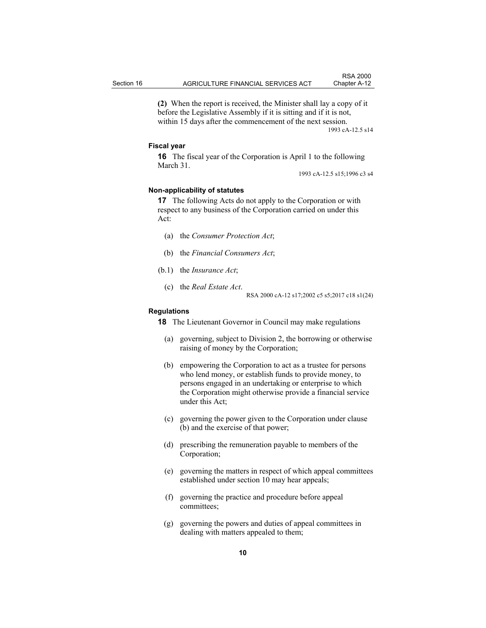**(2)** When the report is received, the Minister shall lay a copy of it before the Legislative Assembly if it is sitting and if it is not, within 15 days after the commencement of the next session. 1993 cA-12.5 s14

#### **Fiscal year**

**16** The fiscal year of the Corporation is April 1 to the following March 31.

1993 cA-12.5 s15;1996 c3 s4

#### **Non-applicability of statutes**

**17** The following Acts do not apply to the Corporation or with respect to any business of the Corporation carried on under this Act:

- (a) the *Consumer Protection Act*;
- (b) the *Financial Consumers Act*;
- (b.1) the *Insurance Act*;
	- (c) the *Real Estate Act*. RSA 2000 cA-12 s17;2002 c5 s5;2017 c18 s1(24)

#### **Regulations**

**18** The Lieutenant Governor in Council may make regulations

- (a) governing, subject to Division 2, the borrowing or otherwise raising of money by the Corporation;
- (b) empowering the Corporation to act as a trustee for persons who lend money, or establish funds to provide money, to persons engaged in an undertaking or enterprise to which the Corporation might otherwise provide a financial service under this Act;
- (c) governing the power given to the Corporation under clause (b) and the exercise of that power;
- (d) prescribing the remuneration payable to members of the Corporation;
- (e) governing the matters in respect of which appeal committees established under section 10 may hear appeals;
- (f) governing the practice and procedure before appeal committees;
- (g) governing the powers and duties of appeal committees in dealing with matters appealed to them;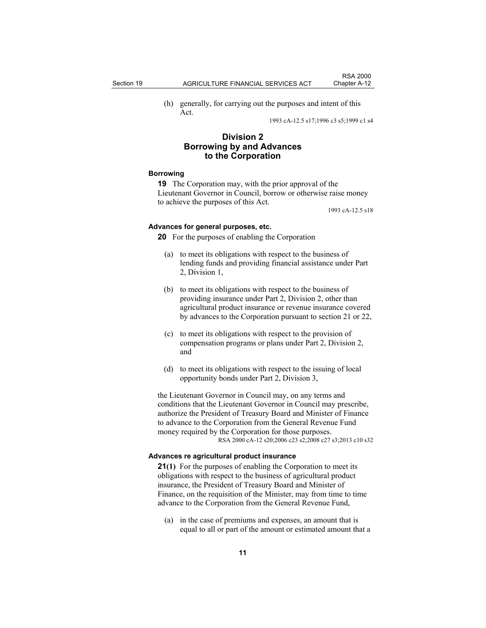(h) generally, for carrying out the purposes and intent of this Act.

1993 cA-12.5 s17;1996 c3 s5;1999 c1 s4

# **Division 2 Borrowing by and Advances to the Corporation**

#### **Borrowing**

**19** The Corporation may, with the prior approval of the Lieutenant Governor in Council, borrow or otherwise raise money to achieve the purposes of this Act.

1993 cA-12.5 s18

# **Advances for general purposes, etc.**

**20** For the purposes of enabling the Corporation

- (a) to meet its obligations with respect to the business of lending funds and providing financial assistance under Part 2, Division 1,
- (b) to meet its obligations with respect to the business of providing insurance under Part 2, Division 2, other than agricultural product insurance or revenue insurance covered by advances to the Corporation pursuant to section 21 or 22,
- (c) to meet its obligations with respect to the provision of compensation programs or plans under Part 2, Division 2, and
- (d) to meet its obligations with respect to the issuing of local opportunity bonds under Part 2, Division 3,

the Lieutenant Governor in Council may, on any terms and conditions that the Lieutenant Governor in Council may prescribe, authorize the President of Treasury Board and Minister of Finance to advance to the Corporation from the General Revenue Fund money required by the Corporation for those purposes. RSA 2000 cA-12 s20;2006 c23 s2;2008 c27 s3;2013 c10 s32

#### **Advances re agricultural product insurance**

**21(1)** For the purposes of enabling the Corporation to meet its obligations with respect to the business of agricultural product insurance, the President of Treasury Board and Minister of Finance, on the requisition of the Minister, may from time to time advance to the Corporation from the General Revenue Fund,

 (a) in the case of premiums and expenses, an amount that is equal to all or part of the amount or estimated amount that a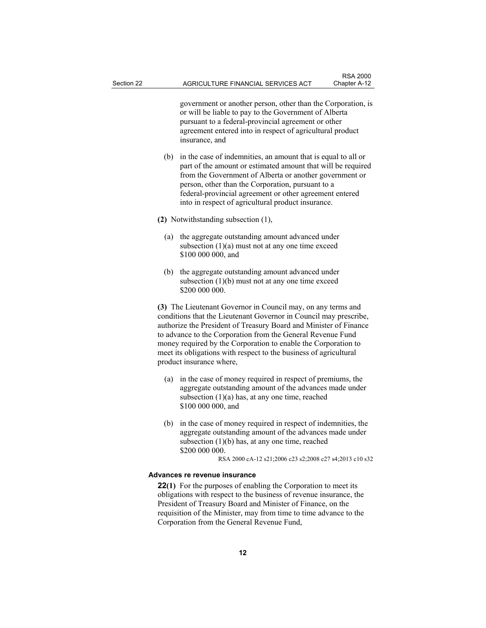government or another person, other than the Corporation, is or will be liable to pay to the Government of Alberta pursuant to a federal-provincial agreement or other agreement entered into in respect of agricultural product insurance, and

 (b) in the case of indemnities, an amount that is equal to all or part of the amount or estimated amount that will be required from the Government of Alberta or another government or person, other than the Corporation, pursuant to a federal-provincial agreement or other agreement entered into in respect of agricultural product insurance.

**(2)** Notwithstanding subsection (1),

- (a) the aggregate outstanding amount advanced under subsection  $(1)(a)$  must not at any one time exceed \$100 000 000, and
- (b) the aggregate outstanding amount advanced under subsection  $(1)(b)$  must not at any one time exceed \$200 000 000.

**(3)** The Lieutenant Governor in Council may, on any terms and conditions that the Lieutenant Governor in Council may prescribe, authorize the President of Treasury Board and Minister of Finance to advance to the Corporation from the General Revenue Fund money required by the Corporation to enable the Corporation to meet its obligations with respect to the business of agricultural product insurance where,

- (a) in the case of money required in respect of premiums, the aggregate outstanding amount of the advances made under subsection  $(1)(a)$  has, at any one time, reached \$100 000 000, and
- (b) in the case of money required in respect of indemnities, the aggregate outstanding amount of the advances made under subsection (1)(b) has, at any one time, reached \$200 000 000.

RSA 2000 cA-12 s21;2006 c23 s2;2008 c27 s4;2013 c10 s32

#### **Advances re revenue insurance**

**22(1)** For the purposes of enabling the Corporation to meet its obligations with respect to the business of revenue insurance, the President of Treasury Board and Minister of Finance, on the requisition of the Minister, may from time to time advance to the Corporation from the General Revenue Fund,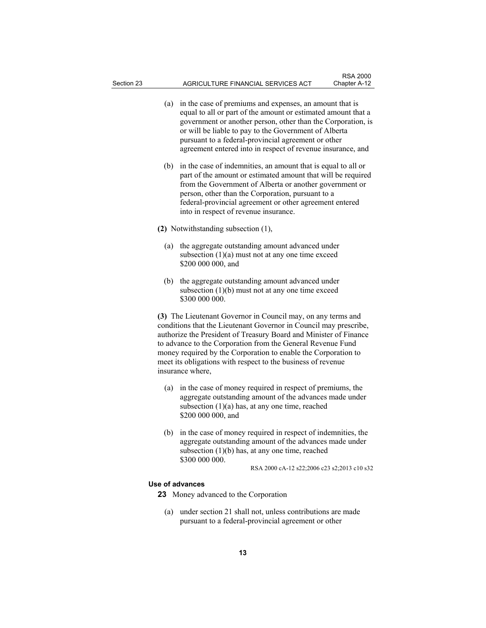- (a) in the case of premiums and expenses, an amount that is equal to all or part of the amount or estimated amount that a government or another person, other than the Corporation, is or will be liable to pay to the Government of Alberta pursuant to a federal-provincial agreement or other agreement entered into in respect of revenue insurance, and
- (b) in the case of indemnities, an amount that is equal to all or part of the amount or estimated amount that will be required from the Government of Alberta or another government or person, other than the Corporation, pursuant to a federal-provincial agreement or other agreement entered into in respect of revenue insurance.
- **(2)** Notwithstanding subsection (1),
	- (a) the aggregate outstanding amount advanced under subsection  $(1)(a)$  must not at any one time exceed \$200 000 000, and
	- (b) the aggregate outstanding amount advanced under subsection  $(1)(b)$  must not at any one time exceed \$300 000 000.

**(3)** The Lieutenant Governor in Council may, on any terms and conditions that the Lieutenant Governor in Council may prescribe, authorize the President of Treasury Board and Minister of Finance to advance to the Corporation from the General Revenue Fund money required by the Corporation to enable the Corporation to meet its obligations with respect to the business of revenue insurance where,

- (a) in the case of money required in respect of premiums, the aggregate outstanding amount of the advances made under subsection  $(1)(a)$  has, at any one time, reached \$200 000 000, and
- (b) in the case of money required in respect of indemnities, the aggregate outstanding amount of the advances made under subsection (1)(b) has, at any one time, reached \$300 000 000.

RSA 2000 cA-12 s22;2006 c23 s2;2013 c10 s32

# **Use of advances**

**23** Money advanced to the Corporation

 (a) under section 21 shall not, unless contributions are made pursuant to a federal-provincial agreement or other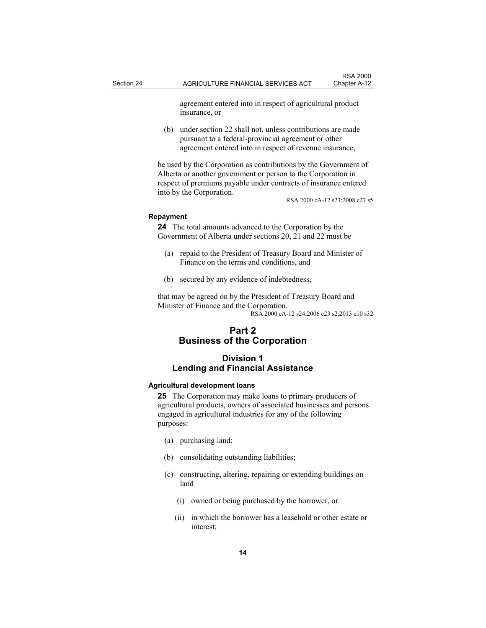agreement entered into in respect of agricultural product insurance, or

 (b) under section 22 shall not, unless contributions are made pursuant to a federal-provincial agreement or other agreement entered into in respect of revenue insurance,

be used by the Corporation as contributions by the Government of Alberta or another government or person to the Corporation in respect of premiums payable under contracts of insurance entered into by the Corporation.

RSA 2000 cA-12 s23;2008 c27 s5

#### **Repayment**

**24** The total amounts advanced to the Corporation by the Government of Alberta under sections 20, 21 and 22 must be

- (a) repaid to the President of Treasury Board and Minister of Finance on the terms and conditions, and
- (b) secured by any evidence of indebtedness,

that may be agreed on by the President of Treasury Board and Minister of Finance and the Corporation. RSA 2000 cA-12 s24;2006 c23 s2;2013 c10 s32

# **Part 2 Business of the Corporation**

# **Division 1 Lending and Financial Assistance**

#### **Agricultural development loans**

**25** The Corporation may make loans to primary producers of agricultural products, owners of associated businesses and persons engaged in agricultural industries for any of the following purposes:

- (a) purchasing land;
- (b) consolidating outstanding liabilities;
- (c) constructing, altering, repairing or extending buildings on land
	- (i) owned or being purchased by the borrower, or
	- (ii) in which the borrower has a leasehold or other estate or interest;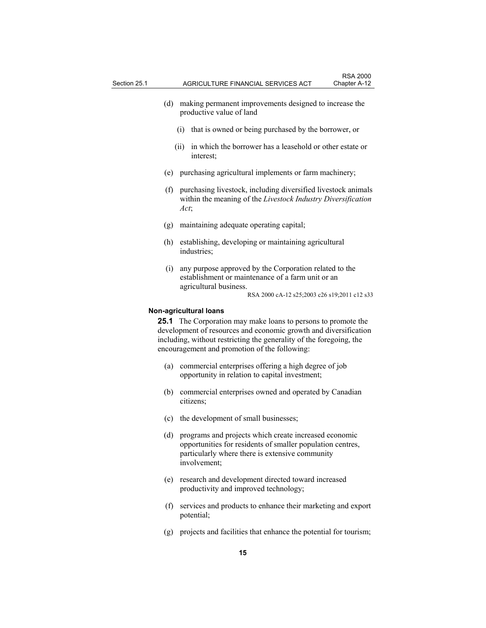- (d) making permanent improvements designed to increase the productive value of land
	- (i) that is owned or being purchased by the borrower, or
	- (ii) in which the borrower has a leasehold or other estate or interest;
- (e) purchasing agricultural implements or farm machinery;
- (f) purchasing livestock, including diversified livestock animals within the meaning of the *Livestock Industry Diversification Act*;
- (g) maintaining adequate operating capital;
- (h) establishing, developing or maintaining agricultural industries;
- (i) any purpose approved by the Corporation related to the establishment or maintenance of a farm unit or an agricultural business.

#### **Non-agricultural loans**

**25.1** The Corporation may make loans to persons to promote the development of resources and economic growth and diversification including, without restricting the generality of the foregoing, the encouragement and promotion of the following:

- (a) commercial enterprises offering a high degree of job opportunity in relation to capital investment;
- (b) commercial enterprises owned and operated by Canadian citizens;
- (c) the development of small businesses;
- (d) programs and projects which create increased economic opportunities for residents of smaller population centres, particularly where there is extensive community involvement;
- (e) research and development directed toward increased productivity and improved technology;
- (f) services and products to enhance their marketing and export potential;
- (g) projects and facilities that enhance the potential for tourism;

RSA 2000 cA-12 s25;2003 c26 s19;2011 c12 s33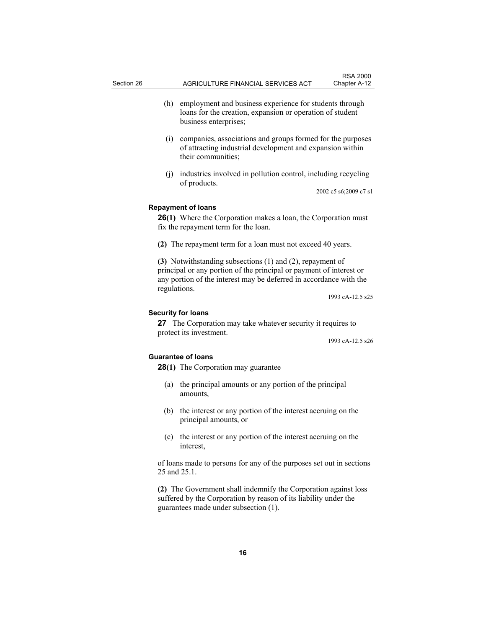- (h) employment and business experience for students through loans for the creation, expansion or operation of student business enterprises;
- (i) companies, associations and groups formed for the purposes of attracting industrial development and expansion within their communities;
- (j) industries involved in pollution control, including recycling of products.

2002 c5 s6;2009 c7 s1

#### **Repayment of loans**

**26(1)** Where the Corporation makes a loan, the Corporation must fix the repayment term for the loan.

**(2)** The repayment term for a loan must not exceed 40 years.

**(3)** Notwithstanding subsections (1) and (2), repayment of principal or any portion of the principal or payment of interest or any portion of the interest may be deferred in accordance with the regulations.

1993 cA-12.5 s25

# **Security for loans**

**27** The Corporation may take whatever security it requires to protect its investment.

1993 cA-12.5 s26

#### **Guarantee of loans**

- **28(1)** The Corporation may guarantee
	- (a) the principal amounts or any portion of the principal amounts,
	- (b) the interest or any portion of the interest accruing on the principal amounts, or
	- (c) the interest or any portion of the interest accruing on the interest,

of loans made to persons for any of the purposes set out in sections 25 and 25.1.

**(2)** The Government shall indemnify the Corporation against loss suffered by the Corporation by reason of its liability under the guarantees made under subsection (1).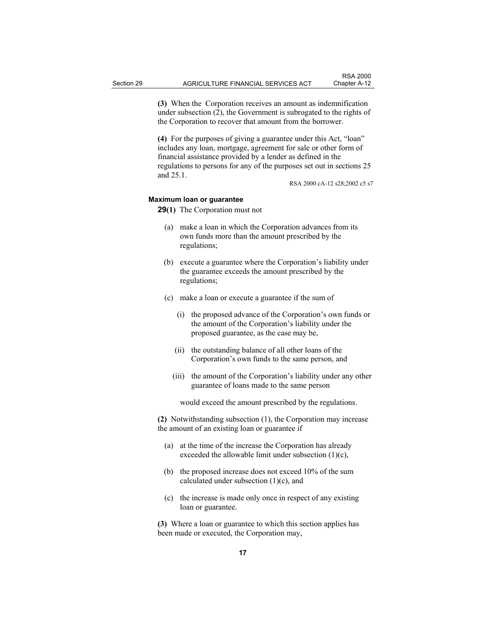**(3)** When the Corporation receives an amount as indemnification under subsection (2), the Government is subrogated to the rights of the Corporation to recover that amount from the borrower.

**(4)** For the purposes of giving a guarantee under this Act, "loan" includes any loan, mortgage, agreement for sale or other form of financial assistance provided by a lender as defined in the regulations to persons for any of the purposes set out in sections 25 and 25.1.

RSA 2000 cA-12 s28;2002 c5 s7

#### **Maximum loan or guarantee**

**29(1)** The Corporation must not

- (a) make a loan in which the Corporation advances from its own funds more than the amount prescribed by the regulations;
- (b) execute a guarantee where the Corporation's liability under the guarantee exceeds the amount prescribed by the regulations;
- (c) make a loan or execute a guarantee if the sum of
	- (i) the proposed advance of the Corporation's own funds or the amount of the Corporation's liability under the proposed guarantee, as the case may be,
	- (ii) the outstanding balance of all other loans of the Corporation's own funds to the same person, and
	- (iii) the amount of the Corporation's liability under any other guarantee of loans made to the same person

would exceed the amount prescribed by the regulations.

**(2)** Notwithstanding subsection (1), the Corporation may increase the amount of an existing loan or guarantee if

- (a) at the time of the increase the Corporation has already exceeded the allowable limit under subsection (1)(c),
- (b) the proposed increase does not exceed 10% of the sum calculated under subsection (1)(c), and
- (c) the increase is made only once in respect of any existing loan or guarantee.

**(3)** Where a loan or guarantee to which this section applies has been made or executed, the Corporation may,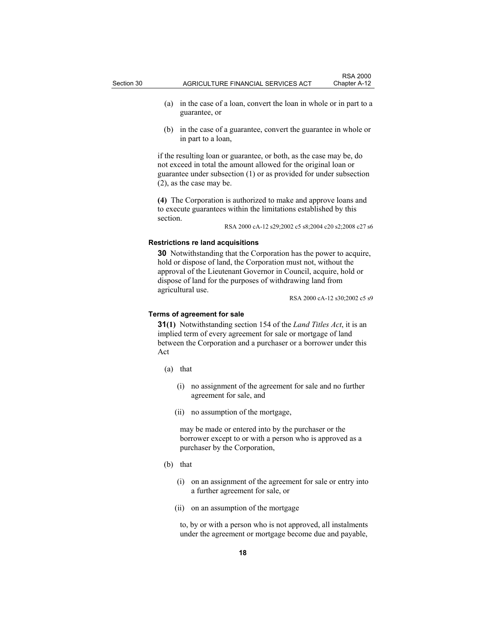- (a) in the case of a loan, convert the loan in whole or in part to a guarantee, or
- (b) in the case of a guarantee, convert the guarantee in whole or in part to a loan,

if the resulting loan or guarantee, or both, as the case may be, do not exceed in total the amount allowed for the original loan or guarantee under subsection (1) or as provided for under subsection (2), as the case may be.

**(4)** The Corporation is authorized to make and approve loans and to execute guarantees within the limitations established by this section.

RSA 2000 cA-12 s29;2002 c5 s8;2004 c20 s2;2008 c27 s6

#### **Restrictions re land acquisitions**

**30** Notwithstanding that the Corporation has the power to acquire, hold or dispose of land, the Corporation must not, without the approval of the Lieutenant Governor in Council, acquire, hold or dispose of land for the purposes of withdrawing land from agricultural use.

RSA 2000 cA-12 s30;2002 c5 s9

### **Terms of agreement for sale**

**31(1)** Notwithstanding section 154 of the *Land Titles Act*, it is an implied term of every agreement for sale or mortgage of land between the Corporation and a purchaser or a borrower under this Act

- (a) that
	- (i) no assignment of the agreement for sale and no further agreement for sale, and
	- (ii) no assumption of the mortgage,

 may be made or entered into by the purchaser or the borrower except to or with a person who is approved as a purchaser by the Corporation,

- (b) that
	- (i) on an assignment of the agreement for sale or entry into a further agreement for sale, or
	- (ii) on an assumption of the mortgage

 to, by or with a person who is not approved, all instalments under the agreement or mortgage become due and payable,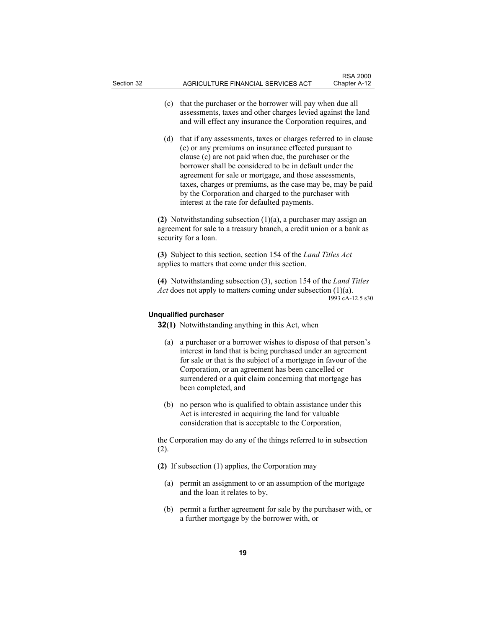- (c) that the purchaser or the borrower will pay when due all assessments, taxes and other charges levied against the land and will effect any insurance the Corporation requires, and
- (d) that if any assessments, taxes or charges referred to in clause (c) or any premiums on insurance effected pursuant to clause (c) are not paid when due, the purchaser or the borrower shall be considered to be in default under the agreement for sale or mortgage, and those assessments, taxes, charges or premiums, as the case may be, may be paid by the Corporation and charged to the purchaser with interest at the rate for defaulted payments.

**(2)** Notwithstanding subsection (1)(a), a purchaser may assign an agreement for sale to a treasury branch, a credit union or a bank as security for a loan.

**(3)** Subject to this section, section 154 of the *Land Titles Act* applies to matters that come under this section.

**(4)** Notwithstanding subsection (3), section 154 of the *Land Titles Act* does not apply to matters coming under subsection (1)(a). 1993 cA-12.5 s30

# **Unqualified purchaser**

**32(1)** Notwithstanding anything in this Act, when

- (a) a purchaser or a borrower wishes to dispose of that person's interest in land that is being purchased under an agreement for sale or that is the subject of a mortgage in favour of the Corporation, or an agreement has been cancelled or surrendered or a quit claim concerning that mortgage has been completed, and
- (b) no person who is qualified to obtain assistance under this Act is interested in acquiring the land for valuable consideration that is acceptable to the Corporation,

the Corporation may do any of the things referred to in subsection (2).

- **(2)** If subsection (1) applies, the Corporation may
	- (a) permit an assignment to or an assumption of the mortgage and the loan it relates to by,
	- (b) permit a further agreement for sale by the purchaser with, or a further mortgage by the borrower with, or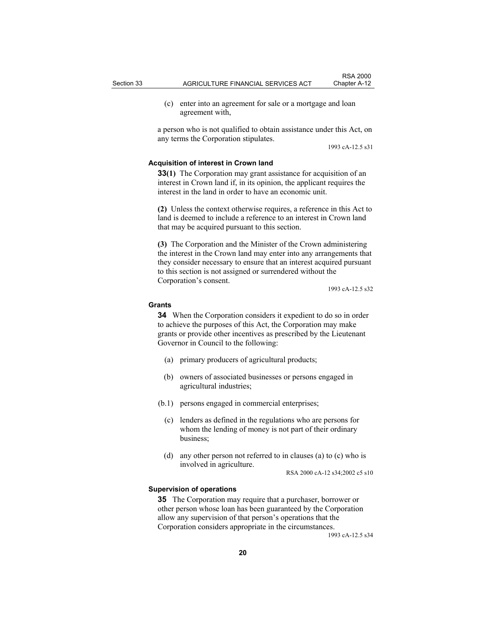(c) enter into an agreement for sale or a mortgage and loan agreement with,

a person who is not qualified to obtain assistance under this Act, on any terms the Corporation stipulates.

1993 cA-12.5 s31

#### **Acquisition of interest in Crown land**

**33(1)** The Corporation may grant assistance for acquisition of an interest in Crown land if, in its opinion, the applicant requires the interest in the land in order to have an economic unit.

**(2)** Unless the context otherwise requires, a reference in this Act to land is deemed to include a reference to an interest in Crown land that may be acquired pursuant to this section.

**(3)** The Corporation and the Minister of the Crown administering the interest in the Crown land may enter into any arrangements that they consider necessary to ensure that an interest acquired pursuant to this section is not assigned or surrendered without the Corporation's consent.

1993 cA-12.5 s32

#### **Grants**

**34** When the Corporation considers it expedient to do so in order to achieve the purposes of this Act, the Corporation may make grants or provide other incentives as prescribed by the Lieutenant Governor in Council to the following:

- (a) primary producers of agricultural products;
- (b) owners of associated businesses or persons engaged in agricultural industries;
- (b.1) persons engaged in commercial enterprises;
	- (c) lenders as defined in the regulations who are persons for whom the lending of money is not part of their ordinary business;
	- (d) any other person not referred to in clauses (a) to (c) who is involved in agriculture.

RSA 2000 cA-12 s34;2002 c5 s10

#### **Supervision of operations**

**35** The Corporation may require that a purchaser, borrower or other person whose loan has been guaranteed by the Corporation allow any supervision of that person's operations that the Corporation considers appropriate in the circumstances.

1993 cA-12.5 s34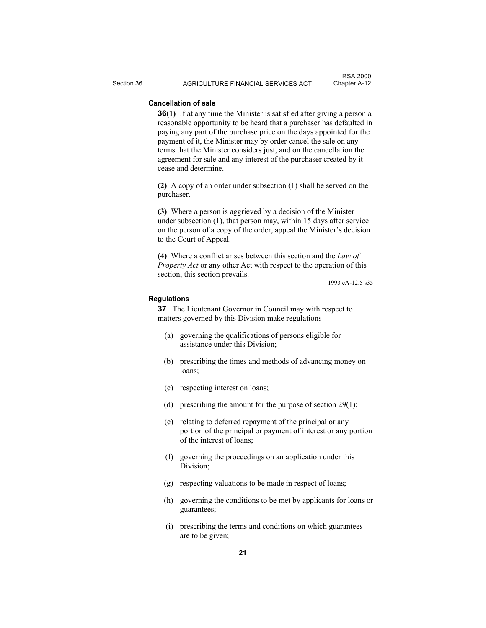# **Cancellation of sale**

**36(1)** If at any time the Minister is satisfied after giving a person a reasonable opportunity to be heard that a purchaser has defaulted in paying any part of the purchase price on the days appointed for the payment of it, the Minister may by order cancel the sale on any terms that the Minister considers just, and on the cancellation the agreement for sale and any interest of the purchaser created by it cease and determine.

**(2)** A copy of an order under subsection (1) shall be served on the purchaser.

**(3)** Where a person is aggrieved by a decision of the Minister under subsection (1), that person may, within 15 days after service on the person of a copy of the order, appeal the Minister's decision to the Court of Appeal.

**(4)** Where a conflict arises between this section and the *Law of Property Act* or any other Act with respect to the operation of this section, this section prevails.

1993 cA-12.5 s35

#### **Regulations**

**37** The Lieutenant Governor in Council may with respect to matters governed by this Division make regulations

- (a) governing the qualifications of persons eligible for assistance under this Division;
- (b) prescribing the times and methods of advancing money on loans;
- (c) respecting interest on loans;
- (d) prescribing the amount for the purpose of section 29(1);
- (e) relating to deferred repayment of the principal or any portion of the principal or payment of interest or any portion of the interest of loans;
- (f) governing the proceedings on an application under this Division;
- (g) respecting valuations to be made in respect of loans;
- (h) governing the conditions to be met by applicants for loans or guarantees;
- (i) prescribing the terms and conditions on which guarantees are to be given;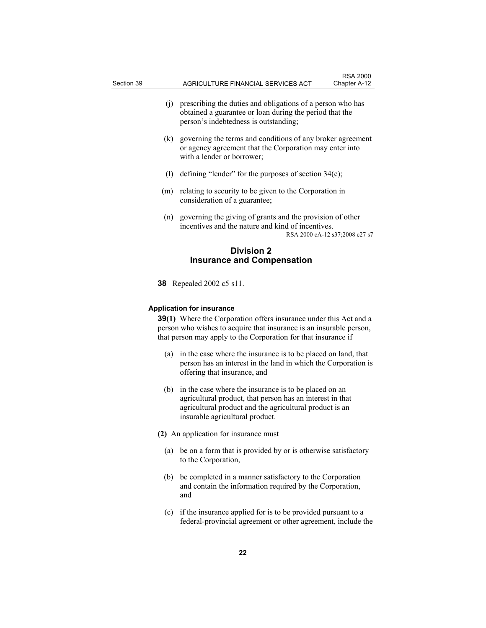- (j) prescribing the duties and obligations of a person who has obtained a guarantee or loan during the period that the person's indebtedness is outstanding;
- (k) governing the terms and conditions of any broker agreement or agency agreement that the Corporation may enter into with a lender or borrower;
- (l) defining "lender" for the purposes of section  $34(c)$ ;
- (m) relating to security to be given to the Corporation in consideration of a guarantee;
- (n) governing the giving of grants and the provision of other incentives and the nature and kind of incentives. RSA 2000 cA-12 s37;2008 c27 s7

# **Division 2 Insurance and Compensation**

**38** Repealed 2002 c5 s11.

#### **Application for insurance**

**39(1)** Where the Corporation offers insurance under this Act and a person who wishes to acquire that insurance is an insurable person, that person may apply to the Corporation for that insurance if

- (a) in the case where the insurance is to be placed on land, that person has an interest in the land in which the Corporation is offering that insurance, and
- (b) in the case where the insurance is to be placed on an agricultural product, that person has an interest in that agricultural product and the agricultural product is an insurable agricultural product.
- **(2)** An application for insurance must
	- (a) be on a form that is provided by or is otherwise satisfactory to the Corporation,
	- (b) be completed in a manner satisfactory to the Corporation and contain the information required by the Corporation, and
	- (c) if the insurance applied for is to be provided pursuant to a federal-provincial agreement or other agreement, include the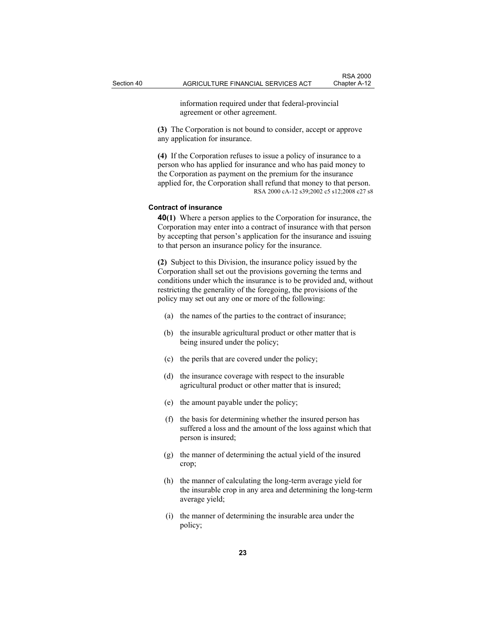information required under that federal-provincial agreement or other agreement.

**(3)** The Corporation is not bound to consider, accept or approve any application for insurance.

**(4)** If the Corporation refuses to issue a policy of insurance to a person who has applied for insurance and who has paid money to the Corporation as payment on the premium for the insurance applied for, the Corporation shall refund that money to that person. RSA 2000 cA-12 s39;2002 c5 s12;2008 c27 s8

# **Contract of insurance**

**40(1)** Where a person applies to the Corporation for insurance, the Corporation may enter into a contract of insurance with that person by accepting that person's application for the insurance and issuing to that person an insurance policy for the insurance.

**(2)** Subject to this Division, the insurance policy issued by the Corporation shall set out the provisions governing the terms and conditions under which the insurance is to be provided and, without restricting the generality of the foregoing, the provisions of the policy may set out any one or more of the following:

- (a) the names of the parties to the contract of insurance;
- (b) the insurable agricultural product or other matter that is being insured under the policy;
- (c) the perils that are covered under the policy;
- (d) the insurance coverage with respect to the insurable agricultural product or other matter that is insured;
- (e) the amount payable under the policy;
- (f) the basis for determining whether the insured person has suffered a loss and the amount of the loss against which that person is insured;
- (g) the manner of determining the actual yield of the insured crop;
- (h) the manner of calculating the long-term average yield for the insurable crop in any area and determining the long-term average yield;
- (i) the manner of determining the insurable area under the policy;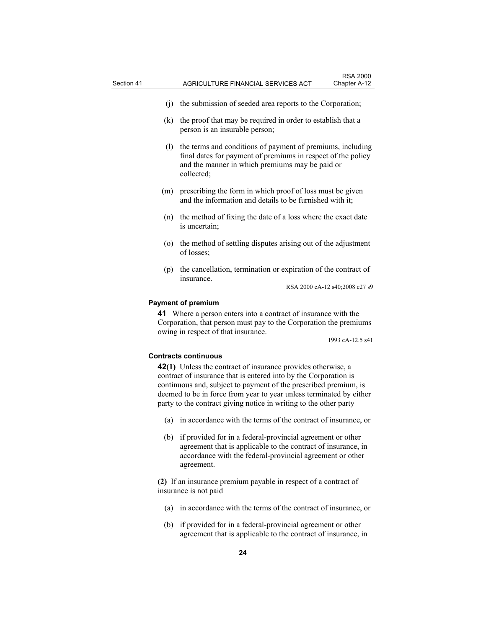- (j) the submission of seeded area reports to the Corporation;
- (k) the proof that may be required in order to establish that a person is an insurable person;
- (l) the terms and conditions of payment of premiums, including final dates for payment of premiums in respect of the policy and the manner in which premiums may be paid or collected;
- (m) prescribing the form in which proof of loss must be given and the information and details to be furnished with it;
- (n) the method of fixing the date of a loss where the exact date is uncertain;
- (o) the method of settling disputes arising out of the adjustment of losses;
- (p) the cancellation, termination or expiration of the contract of insurance.

RSA 2000 cA-12 s40;2008 c27 s9

#### **Payment of premium**

**41** Where a person enters into a contract of insurance with the Corporation, that person must pay to the Corporation the premiums owing in respect of that insurance.

1993 cA-12.5 s41

#### **Contracts continuous**

**42(1)** Unless the contract of insurance provides otherwise, a contract of insurance that is entered into by the Corporation is continuous and, subject to payment of the prescribed premium, is deemed to be in force from year to year unless terminated by either party to the contract giving notice in writing to the other party

- (a) in accordance with the terms of the contract of insurance, or
- (b) if provided for in a federal-provincial agreement or other agreement that is applicable to the contract of insurance, in accordance with the federal-provincial agreement or other agreement.

**(2)** If an insurance premium payable in respect of a contract of insurance is not paid

- (a) in accordance with the terms of the contract of insurance, or
- (b) if provided for in a federal-provincial agreement or other agreement that is applicable to the contract of insurance, in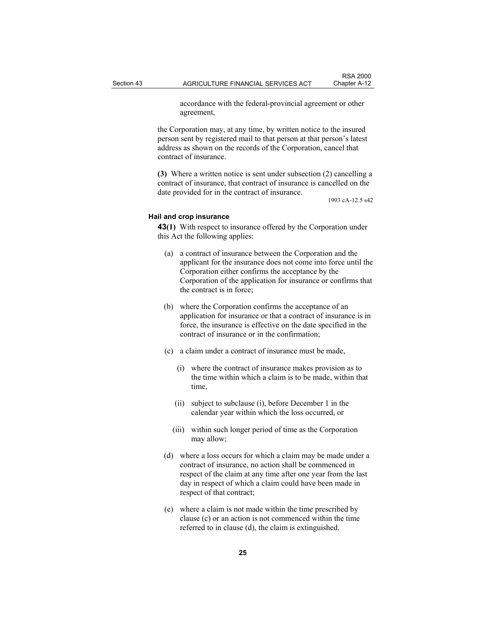accordance with the federal-provincial agreement or other agreement,

the Corporation may, at any time, by written notice to the insured person sent by registered mail to that person at that person's latest address as shown on the records of the Corporation, cancel that contract of insurance.

**(3)** Where a written notice is sent under subsection (2) cancelling a contract of insurance, that contract of insurance is cancelled on the date provided for in the contract of insurance.

1993 cA-12.5 s42

#### **Hail and crop insurance**

**43(1)** With respect to insurance offered by the Corporation under this Act the following applies:

- (a) a contract of insurance between the Corporation and the applicant for the insurance does not come into force until the Corporation either confirms the acceptance by the Corporation of the application for insurance or confirms that the contract is in force;
- (b) where the Corporation confirms the acceptance of an application for insurance or that a contract of insurance is in force, the insurance is effective on the date specified in the contract of insurance or in the confirmation;
- (c) a claim under a contract of insurance must be made,
	- (i) where the contract of insurance makes provision as to the time within which a claim is to be made, within that time,
	- (ii) subject to subclause (i), before December 1 in the calendar year within which the loss occurred, or
	- (iii) within such longer period of time as the Corporation may allow;
- (d) where a loss occurs for which a claim may be made under a contract of insurance, no action shall be commenced in respect of the claim at any time after one year from the last day in respect of which a claim could have been made in respect of that contract;
- (e) where a claim is not made within the time prescribed by clause (c) or an action is not commenced within the time referred to in clause (d), the claim is extinguished.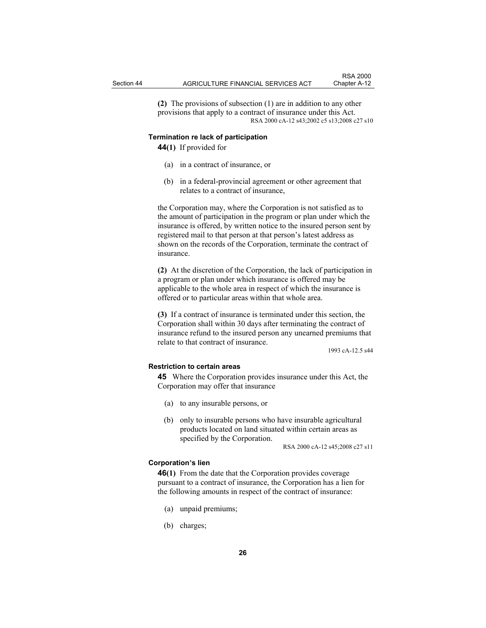RSA 2000

**(2)** The provisions of subsection (1) are in addition to any other provisions that apply to a contract of insurance under this Act. RSA 2000 cA-12 s43;2002 c5 s13;2008 c27 s10

#### **Termination re lack of participation**

**44(1)** If provided for

- (a) in a contract of insurance, or
- (b) in a federal-provincial agreement or other agreement that relates to a contract of insurance,

the Corporation may, where the Corporation is not satisfied as to the amount of participation in the program or plan under which the insurance is offered, by written notice to the insured person sent by registered mail to that person at that person's latest address as shown on the records of the Corporation, terminate the contract of insurance.

**(2)** At the discretion of the Corporation, the lack of participation in a program or plan under which insurance is offered may be applicable to the whole area in respect of which the insurance is offered or to particular areas within that whole area.

**(3)** If a contract of insurance is terminated under this section, the Corporation shall within 30 days after terminating the contract of insurance refund to the insured person any unearned premiums that relate to that contract of insurance.

1993 cA-12.5 s44

# **Restriction to certain areas**

**45** Where the Corporation provides insurance under this Act, the Corporation may offer that insurance

- (a) to any insurable persons, or
- (b) only to insurable persons who have insurable agricultural products located on land situated within certain areas as specified by the Corporation.

RSA 2000 cA-12 s45;2008 c27 s11

#### **Corporation's lien**

**46(1)** From the date that the Corporation provides coverage pursuant to a contract of insurance, the Corporation has a lien for the following amounts in respect of the contract of insurance:

- (a) unpaid premiums;
- (b) charges;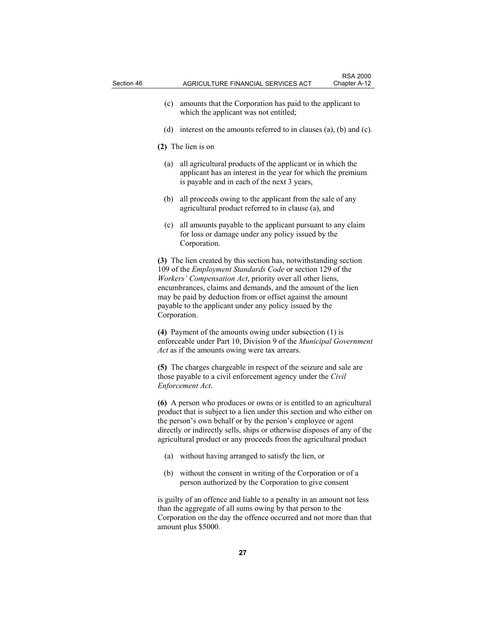- (c) amounts that the Corporation has paid to the applicant to which the applicant was not entitled;
- (d) interest on the amounts referred to in clauses (a), (b) and (c).

**(2)** The lien is on

- (a) all agricultural products of the applicant or in which the applicant has an interest in the year for which the premium is payable and in each of the next 3 years,
- (b) all proceeds owing to the applicant from the sale of any agricultural product referred to in clause (a), and
- (c) all amounts payable to the applicant pursuant to any claim for loss or damage under any policy issued by the Corporation.

**(3)** The lien created by this section has, notwithstanding section 109 of the *Employment Standards Code* or section 129 of the *Workers' Compensation Act*, priority over all other liens, encumbrances, claims and demands, and the amount of the lien may be paid by deduction from or offset against the amount payable to the applicant under any policy issued by the Corporation.

**(4)** Payment of the amounts owing under subsection (1) is enforceable under Part 10, Division 9 of the *Municipal Government Act* as if the amounts owing were tax arrears.

**(5)** The charges chargeable in respect of the seizure and sale are those payable to a civil enforcement agency under the *Civil Enforcement Act*.

**(6)** A person who produces or owns or is entitled to an agricultural product that is subject to a lien under this section and who either on the person's own behalf or by the person's employee or agent directly or indirectly sells, ships or otherwise disposes of any of the agricultural product or any proceeds from the agricultural product

- (a) without having arranged to satisfy the lien, or
- (b) without the consent in writing of the Corporation or of a person authorized by the Corporation to give consent

is guilty of an offence and liable to a penalty in an amount not less than the aggregate of all sums owing by that person to the Corporation on the day the offence occurred and not more than that amount plus \$5000.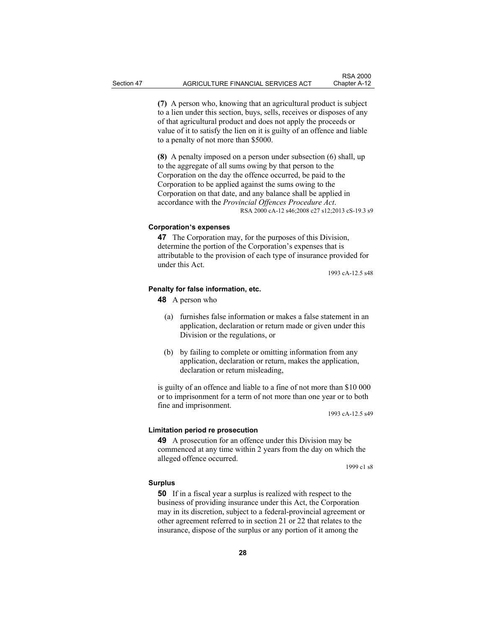**(7)** A person who, knowing that an agricultural product is subject to a lien under this section, buys, sells, receives or disposes of any of that agricultural product and does not apply the proceeds or value of it to satisfy the lien on it is guilty of an offence and liable to a penalty of not more than \$5000.

**(8)** A penalty imposed on a person under subsection (6) shall, up to the aggregate of all sums owing by that person to the Corporation on the day the offence occurred, be paid to the Corporation to be applied against the sums owing to the Corporation on that date, and any balance shall be applied in accordance with the *Provincial Offences Procedure Act*. RSA 2000 cA-12 s46;2008 c27 s12;2013 cS-19.3 s9

#### **Corporation's expenses**

**47** The Corporation may, for the purposes of this Division, determine the portion of the Corporation's expenses that is attributable to the provision of each type of insurance provided for under this Act.

1993 cA-12.5 s48

### **Penalty for false information, etc.**

**48** A person who

- (a) furnishes false information or makes a false statement in an application, declaration or return made or given under this Division or the regulations, or
- (b) by failing to complete or omitting information from any application, declaration or return, makes the application, declaration or return misleading,

is guilty of an offence and liable to a fine of not more than \$10 000 or to imprisonment for a term of not more than one year or to both fine and imprisonment.

1993 cA-12.5 s49

#### **Limitation period re prosecution**

**49** A prosecution for an offence under this Division may be commenced at any time within 2 years from the day on which the alleged offence occurred.

1999 c1 s8

#### **Surplus**

**50** If in a fiscal year a surplus is realized with respect to the business of providing insurance under this Act, the Corporation may in its discretion, subject to a federal-provincial agreement or other agreement referred to in section 21 or 22 that relates to the insurance, dispose of the surplus or any portion of it among the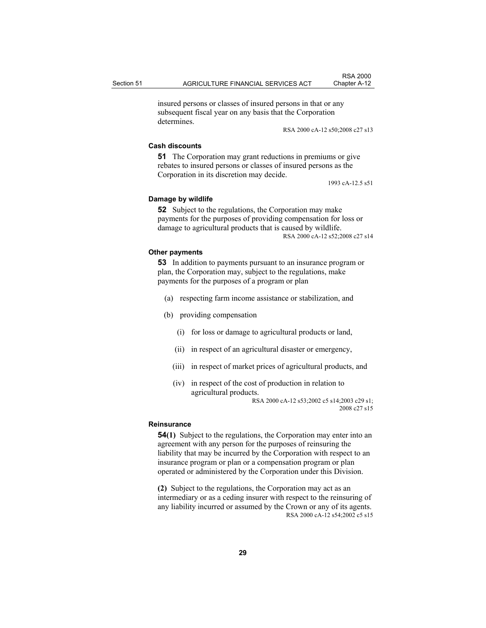RSA 2000

insured persons or classes of insured persons in that or any subsequent fiscal year on any basis that the Corporation determines.

RSA 2000 cA-12 s50;2008 c27 s13

#### **Cash discounts**

**51** The Corporation may grant reductions in premiums or give rebates to insured persons or classes of insured persons as the Corporation in its discretion may decide.

1993 cA-12.5 s51

#### **Damage by wildlife**

**52** Subject to the regulations, the Corporation may make payments for the purposes of providing compensation for loss or damage to agricultural products that is caused by wildlife. RSA 2000 cA-12 s52;2008 c27 s14

#### **Other payments**

**53** In addition to payments pursuant to an insurance program or plan, the Corporation may, subject to the regulations, make payments for the purposes of a program or plan

- (a) respecting farm income assistance or stabilization, and
- (b) providing compensation
	- (i) for loss or damage to agricultural products or land,
	- (ii) in respect of an agricultural disaster or emergency,
	- (iii) in respect of market prices of agricultural products, and
	- (iv) in respect of the cost of production in relation to agricultural products.

RSA 2000 cA-12 s53;2002 c5 s14;2003 c29 s1; 2008 c27 s15

#### **Reinsurance**

**54(1)** Subject to the regulations, the Corporation may enter into an agreement with any person for the purposes of reinsuring the liability that may be incurred by the Corporation with respect to an insurance program or plan or a compensation program or plan operated or administered by the Corporation under this Division.

**(2)** Subject to the regulations, the Corporation may act as an intermediary or as a ceding insurer with respect to the reinsuring of any liability incurred or assumed by the Crown or any of its agents. RSA 2000 cA-12 s54;2002 c5 s15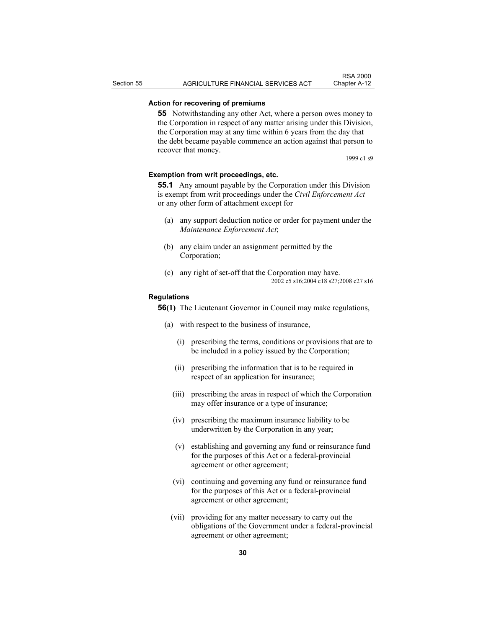# **Action for recovering of premiums**

**55** Notwithstanding any other Act, where a person owes money to the Corporation in respect of any matter arising under this Division, the Corporation may at any time within 6 years from the day that the debt became payable commence an action against that person to recover that money.

1999 c1 s9

#### **Exemption from writ proceedings, etc.**

**55.1** Any amount payable by the Corporation under this Division is exempt from writ proceedings under the *Civil Enforcement Act* or any other form of attachment except for

- (a) any support deduction notice or order for payment under the *Maintenance Enforcement Act*;
- (b) any claim under an assignment permitted by the Corporation;
- (c) any right of set-off that the Corporation may have. 2002 c5 s16;2004 c18 s27;2008 c27 s16

#### **Regulations**

**56(1)** The Lieutenant Governor in Council may make regulations,

- (a) with respect to the business of insurance,
	- (i) prescribing the terms, conditions or provisions that are to be included in a policy issued by the Corporation;
	- (ii) prescribing the information that is to be required in respect of an application for insurance;
	- (iii) prescribing the areas in respect of which the Corporation may offer insurance or a type of insurance;
	- (iv) prescribing the maximum insurance liability to be underwritten by the Corporation in any year;
	- (v) establishing and governing any fund or reinsurance fund for the purposes of this Act or a federal-provincial agreement or other agreement;
	- (vi) continuing and governing any fund or reinsurance fund for the purposes of this Act or a federal-provincial agreement or other agreement;
	- (vii) providing for any matter necessary to carry out the obligations of the Government under a federal-provincial agreement or other agreement;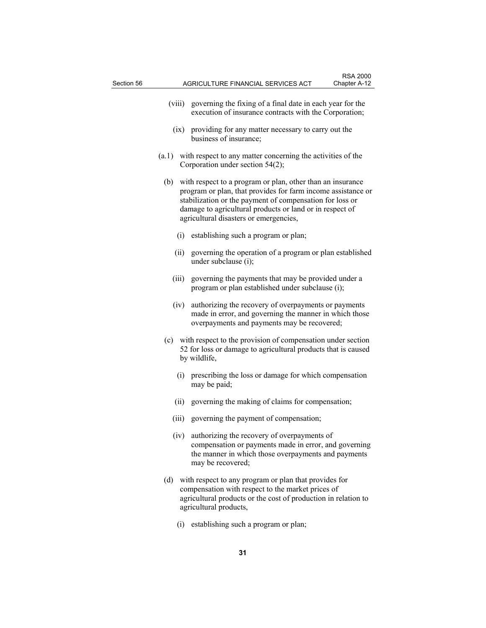- (viii) governing the fixing of a final date in each year for the execution of insurance contracts with the Corporation;
- (ix) providing for any matter necessary to carry out the business of insurance;
- (a.1) with respect to any matter concerning the activities of the Corporation under section 54(2);
- (b) with respect to a program or plan, other than an insurance program or plan, that provides for farm income assistance or stabilization or the payment of compensation for loss or damage to agricultural products or land or in respect of agricultural disasters or emergencies,
	- (i) establishing such a program or plan;
	- (ii) governing the operation of a program or plan established under subclause (i);
	- (iii) governing the payments that may be provided under a program or plan established under subclause (i);
	- (iv) authorizing the recovery of overpayments or payments made in error, and governing the manner in which those overpayments and payments may be recovered;
- (c) with respect to the provision of compensation under section 52 for loss or damage to agricultural products that is caused by wildlife,
	- (i) prescribing the loss or damage for which compensation may be paid;
	- (ii) governing the making of claims for compensation;
	- (iii) governing the payment of compensation;
	- (iv) authorizing the recovery of overpayments of compensation or payments made in error, and governing the manner in which those overpayments and payments may be recovered;
- (d) with respect to any program or plan that provides for compensation with respect to the market prices of agricultural products or the cost of production in relation to agricultural products,
	- (i) establishing such a program or plan;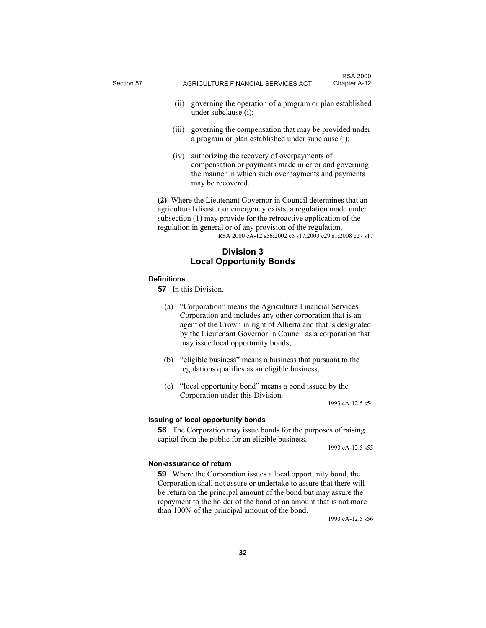- (ii) governing the operation of a program or plan established under subclause (i);
- (iii) governing the compensation that may be provided under a program or plan established under subclause (i);
- (iv) authorizing the recovery of overpayments of compensation or payments made in error and governing the manner in which such overpayments and payments may be recovered.

**(2)** Where the Lieutenant Governor in Council determines that an agricultural disaster or emergency exists, a regulation made under subsection (1) may provide for the retroactive application of the regulation in general or of any provision of the regulation. RSA 2000 cA-12 s56;2002 c5 s17;2003 c29 s1;2008 c27 s17

# **Division 3 Local Opportunity Bonds**

#### **Definitions**

**57** In this Division,

- (a) "Corporation" means the Agriculture Financial Services Corporation and includes any other corporation that is an agent of the Crown in right of Alberta and that is designated by the Lieutenant Governor in Council as a corporation that may issue local opportunity bonds;
- (b) "eligible business" means a business that pursuant to the regulations qualifies as an eligible business;
- (c) "local opportunity bond" means a bond issued by the Corporation under this Division.

1993 cA-12.5 s54

### **Issuing of local opportunity bonds**

**58** The Corporation may issue bonds for the purposes of raising capital from the public for an eligible business.

1993 cA-12.5 s55

#### **Non-assurance of return**

**59** Where the Corporation issues a local opportunity bond, the Corporation shall not assure or undertake to assure that there will be return on the principal amount of the bond but may assure the repayment to the holder of the bond of an amount that is not more than 100% of the principal amount of the bond.

1993 cA-12.5 s56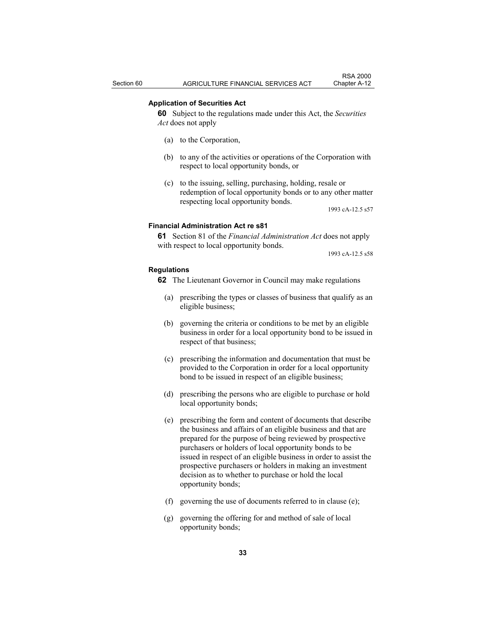### **Application of Securities Act**

**60** Subject to the regulations made under this Act, the *Securities Act* does not apply

- (a) to the Corporation,
- (b) to any of the activities or operations of the Corporation with respect to local opportunity bonds, or
- (c) to the issuing, selling, purchasing, holding, resale or redemption of local opportunity bonds or to any other matter respecting local opportunity bonds.

1993 cA-12.5 s57

#### **Financial Administration Act re s81**

**61** Section 81 of the *Financial Administration Act* does not apply with respect to local opportunity bonds.

1993 cA-12.5 s58

#### **Regulations**

- **62** The Lieutenant Governor in Council may make regulations
	- (a) prescribing the types or classes of business that qualify as an eligible business;
	- (b) governing the criteria or conditions to be met by an eligible business in order for a local opportunity bond to be issued in respect of that business;
	- (c) prescribing the information and documentation that must be provided to the Corporation in order for a local opportunity bond to be issued in respect of an eligible business;
	- (d) prescribing the persons who are eligible to purchase or hold local opportunity bonds;
	- (e) prescribing the form and content of documents that describe the business and affairs of an eligible business and that are prepared for the purpose of being reviewed by prospective purchasers or holders of local opportunity bonds to be issued in respect of an eligible business in order to assist the prospective purchasers or holders in making an investment decision as to whether to purchase or hold the local opportunity bonds;
	- (f) governing the use of documents referred to in clause (e);
	- (g) governing the offering for and method of sale of local opportunity bonds;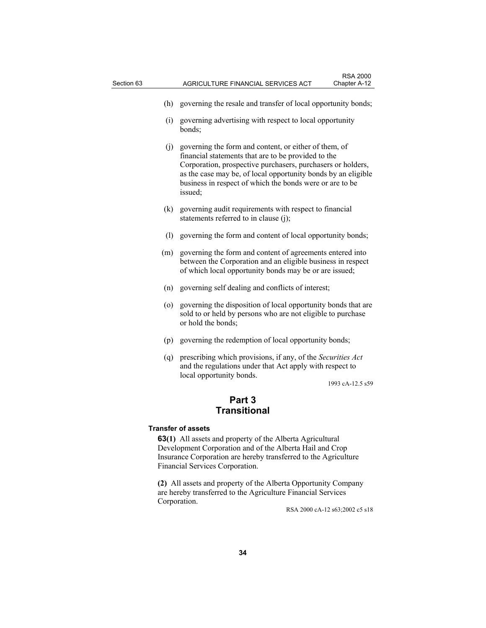- (h) governing the resale and transfer of local opportunity bonds;
- (i) governing advertising with respect to local opportunity bonds;
- (j) governing the form and content, or either of them, of financial statements that are to be provided to the Corporation, prospective purchasers, purchasers or holders, as the case may be, of local opportunity bonds by an eligible business in respect of which the bonds were or are to be issued;
- (k) governing audit requirements with respect to financial statements referred to in clause (j);
- (l) governing the form and content of local opportunity bonds;
- (m) governing the form and content of agreements entered into between the Corporation and an eligible business in respect of which local opportunity bonds may be or are issued;
- (n) governing self dealing and conflicts of interest;
- (o) governing the disposition of local opportunity bonds that are sold to or held by persons who are not eligible to purchase or hold the bonds;
- (p) governing the redemption of local opportunity bonds;
- (q) prescribing which provisions, if any, of the *Securities Act* and the regulations under that Act apply with respect to local opportunity bonds.

1993 cA-12.5 s59

# **Part 3 Transitional**

# **Transfer of assets**

**63(1)** All assets and property of the Alberta Agricultural Development Corporation and of the Alberta Hail and Crop Insurance Corporation are hereby transferred to the Agriculture Financial Services Corporation.

**(2)** All assets and property of the Alberta Opportunity Company are hereby transferred to the Agriculture Financial Services Corporation.

RSA 2000 cA-12 s63;2002 c5 s18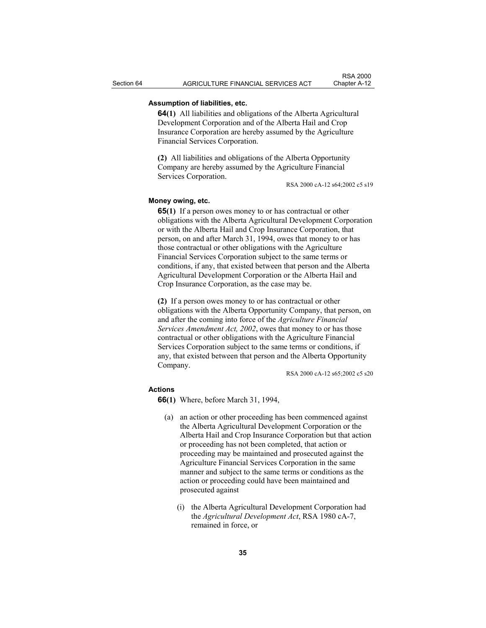# **Assumption of liabilities, etc.**

**64(1)** All liabilities and obligations of the Alberta Agricultural Development Corporation and of the Alberta Hail and Crop Insurance Corporation are hereby assumed by the Agriculture Financial Services Corporation.

**(2)** All liabilities and obligations of the Alberta Opportunity Company are hereby assumed by the Agriculture Financial Services Corporation.

RSA 2000 cA-12 s64;2002 c5 s19

### **Money owing, etc.**

**65(1)** If a person owes money to or has contractual or other obligations with the Alberta Agricultural Development Corporation or with the Alberta Hail and Crop Insurance Corporation, that person, on and after March 31, 1994, owes that money to or has those contractual or other obligations with the Agriculture Financial Services Corporation subject to the same terms or conditions, if any, that existed between that person and the Alberta Agricultural Development Corporation or the Alberta Hail and Crop Insurance Corporation, as the case may be.

**(2)** If a person owes money to or has contractual or other obligations with the Alberta Opportunity Company, that person, on and after the coming into force of the *Agriculture Financial Services Amendment Act, 2002*, owes that money to or has those contractual or other obligations with the Agriculture Financial Services Corporation subject to the same terms or conditions, if any, that existed between that person and the Alberta Opportunity Company.

RSA 2000 cA-12 s65;2002 c5 s20

#### **Actions**

**66(1)** Where, before March 31, 1994,

- (a) an action or other proceeding has been commenced against the Alberta Agricultural Development Corporation or the Alberta Hail and Crop Insurance Corporation but that action or proceeding has not been completed, that action or proceeding may be maintained and prosecuted against the Agriculture Financial Services Corporation in the same manner and subject to the same terms or conditions as the action or proceeding could have been maintained and prosecuted against
	- (i) the Alberta Agricultural Development Corporation had the *Agricultural Development Act*, RSA 1980 cA-7, remained in force, or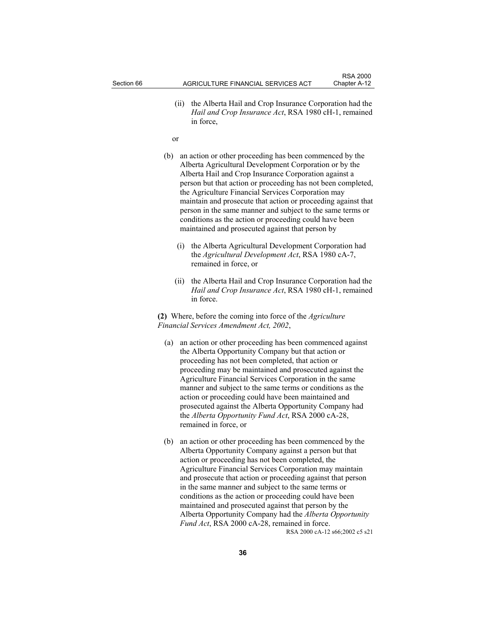(ii) the Alberta Hail and Crop Insurance Corporation had the *Hail and Crop Insurance Act*, RSA 1980 cH-1, remained in force,

or

- (b) an action or other proceeding has been commenced by the Alberta Agricultural Development Corporation or by the Alberta Hail and Crop Insurance Corporation against a person but that action or proceeding has not been completed, the Agriculture Financial Services Corporation may maintain and prosecute that action or proceeding against that person in the same manner and subject to the same terms or conditions as the action or proceeding could have been maintained and prosecuted against that person by
	- (i) the Alberta Agricultural Development Corporation had the *Agricultural Development Act*, RSA 1980 cA-7, remained in force, or
	- (ii) the Alberta Hail and Crop Insurance Corporation had the *Hail and Crop Insurance Act*, RSA 1980 cH-1, remained in force.

**(2)** Where, before the coming into force of the *Agriculture Financial Services Amendment Act, 2002*,

- (a) an action or other proceeding has been commenced against the Alberta Opportunity Company but that action or proceeding has not been completed, that action or proceeding may be maintained and prosecuted against the Agriculture Financial Services Corporation in the same manner and subject to the same terms or conditions as the action or proceeding could have been maintained and prosecuted against the Alberta Opportunity Company had the *Alberta Opportunity Fund Act*, RSA 2000 cA-28, remained in force, or
- (b) an action or other proceeding has been commenced by the Alberta Opportunity Company against a person but that action or proceeding has not been completed, the Agriculture Financial Services Corporation may maintain and prosecute that action or proceeding against that person in the same manner and subject to the same terms or conditions as the action or proceeding could have been maintained and prosecuted against that person by the Alberta Opportunity Company had the *Alberta Opportunity Fund Act*, RSA 2000 cA-28, remained in force. RSA 2000 cA-12 s66;2002 c5 s21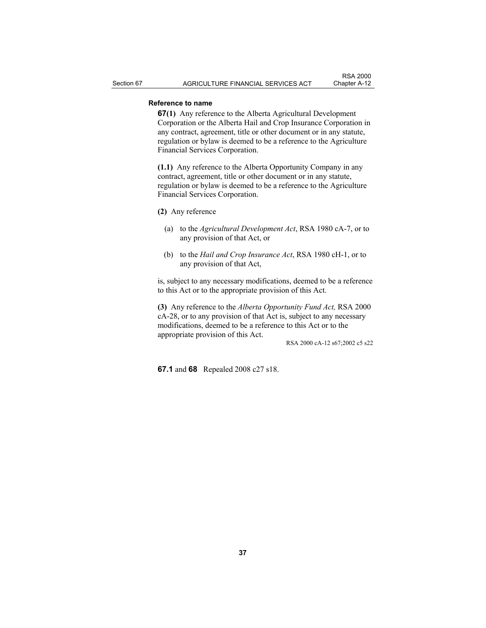# **Reference to name**

**67(1)** Any reference to the Alberta Agricultural Development Corporation or the Alberta Hail and Crop Insurance Corporation in any contract, agreement, title or other document or in any statute, regulation or bylaw is deemed to be a reference to the Agriculture Financial Services Corporation.

**(1.1)** Any reference to the Alberta Opportunity Company in any contract, agreement, title or other document or in any statute, regulation or bylaw is deemed to be a reference to the Agriculture Financial Services Corporation.

**(2)** Any reference

- (a) to the *Agricultural Development Act*, RSA 1980 cA-7, or to any provision of that Act, or
- (b) to the *Hail and Crop Insurance Act*, RSA 1980 cH-1, or to any provision of that Act,

is, subject to any necessary modifications, deemed to be a reference to this Act or to the appropriate provision of this Act.

**(3)** Any reference to the *Alberta Opportunity Fund Act,* RSA 2000 cA-28, or to any provision of that Act is, subject to any necessary modifications, deemed to be a reference to this Act or to the appropriate provision of this Act.

RSA 2000 cA-12 s67;2002 c5 s22

**67.1** and **68** Repealed 2008 c27 s18.